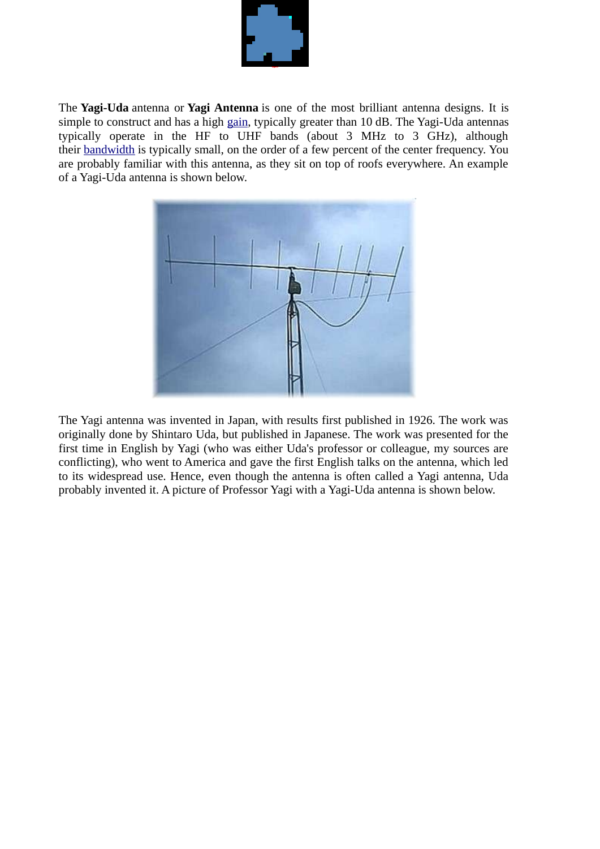

The **Yagi-Uda** antenna or **Yagi Antenna** is one of the most brilliant antenna designs. It is simple to construct and has a high [gain](http://www.antenna-theory.com/basics/gain.php), typically greater than 10 dB. The Yagi-Uda antennas typically operate in the HF to UHF bands (about 3 MHz to 3 GHz), although their [bandwidth](http://www.antenna-theory.com/basics/bandwidth.php) is typically small, on the order of a few percent of the center frequency. You are probably familiar with this antenna, as they sit on top of roofs everywhere. An example of a Yagi-Uda antenna is shown below.



The Yagi antenna was invented in Japan, with results first published in 1926. The work was originally done by Shintaro Uda, but published in Japanese. The work was presented for the first time in English by Yagi (who was either Uda's professor or colleague, my sources are conflicting), who went to America and gave the first English talks on the antenna, which led to its widespread use. Hence, even though the antenna is often called a Yagi antenna, Uda probably invented it. A picture of Professor Yagi with a Yagi-Uda antenna is shown below.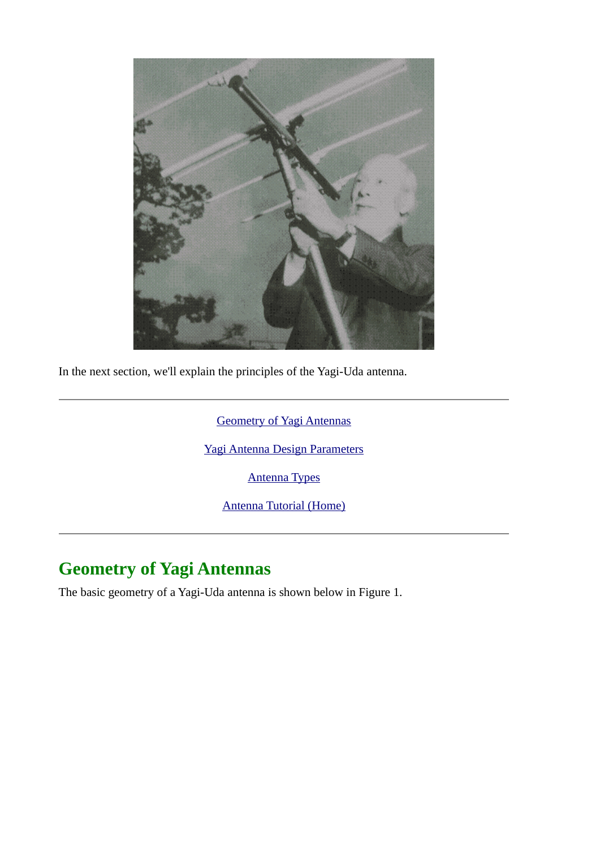

In the next section, we'll explain the principles of the Yagi-Uda antenna.

[Geometry of Yagi Antennas](http://www.antenna-theory.com/antennas/travelling/yagi.php#yagi)

[Yagi Antenna Design Parameters](http://www.antenna-theory.com/antennas/travelling/yagi3.php)

[Antenna Types](http://www.antenna-theory.com/antennas/main.php)

[Antenna Tutorial \(Home\)](http://www.antenna-theory.com/)

## **Geometry of Yagi Antennas**

The basic geometry of a Yagi-Uda antenna is shown below in Figure 1.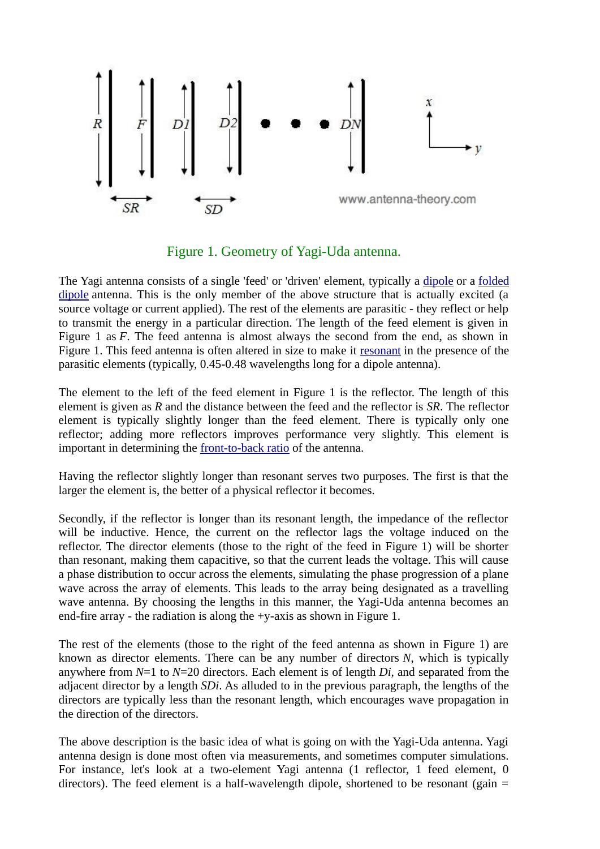

Figure 1. Geometry of Yagi-Uda antenna.

The Yagi antenna consists of a single 'feed' or 'driven' element, typically a [dipole](http://www.antenna-theory.com/antennas/dipole.php) or a [folded](http://www.antenna-theory.com/antennas/foldeddipole.php) [dipole](http://www.antenna-theory.com/antennas/foldeddipole.php) antenna. This is the only member of the above structure that is actually excited (a source voltage or current applied). The rest of the elements are parasitic - they reflect or help to transmit the energy in a particular direction. The length of the feed element is given in Figure 1 as *F*. The feed antenna is almost always the second from the end, as shown in Figure 1. This feed antenna is often altered in size to make it [resonant](http://www.antenna-theory.com/definitions/resonant.php) in the presence of the parasitic elements (typically, 0.45-0.48 wavelengths long for a dipole antenna).

The element to the left of the feed element in Figure 1 is the reflector. The length of this element is given as *R* and the distance between the feed and the reflector is *SR*. The reflector element is typically slightly longer than the feed element. There is typically only one reflector; adding more reflectors improves performance very slightly. This element is important in determining the [front-to-back ratio](http://www.antenna-theory.com/definitions/fronttobackratio.php) of the antenna.

Having the reflector slightly longer than resonant serves two purposes. The first is that the larger the element is, the better of a physical reflector it becomes.

Secondly, if the reflector is longer than its resonant length, the impedance of the reflector will be inductive. Hence, the current on the reflector lags the voltage induced on the reflector. The director elements (those to the right of the feed in Figure 1) will be shorter than resonant, making them capacitive, so that the current leads the voltage. This will cause a phase distribution to occur across the elements, simulating the phase progression of a plane wave across the array of elements. This leads to the array being designated as a travelling wave antenna. By choosing the lengths in this manner, the Yagi-Uda antenna becomes an end-fire array - the radiation is along the +y-axis as shown in Figure 1.

The rest of the elements (those to the right of the feed antenna as shown in Figure 1) are known as director elements. There can be any number of directors *N*, which is typically anywhere from *N*=1 to *N*=20 directors. Each element is of length *Di*, and separated from the adjacent director by a length *SDi*. As alluded to in the previous paragraph, the lengths of the directors are typically less than the resonant length, which encourages wave propagation in the direction of the directors.

The above description is the basic idea of what is going on with the Yagi-Uda antenna. Yagi antenna design is done most often via measurements, and sometimes computer simulations. For instance, let's look at a two-element Yagi antenna (1 reflector, 1 feed element, 0 directors). The feed element is a half-wavelength dipole, shortened to be resonant (gain  $=$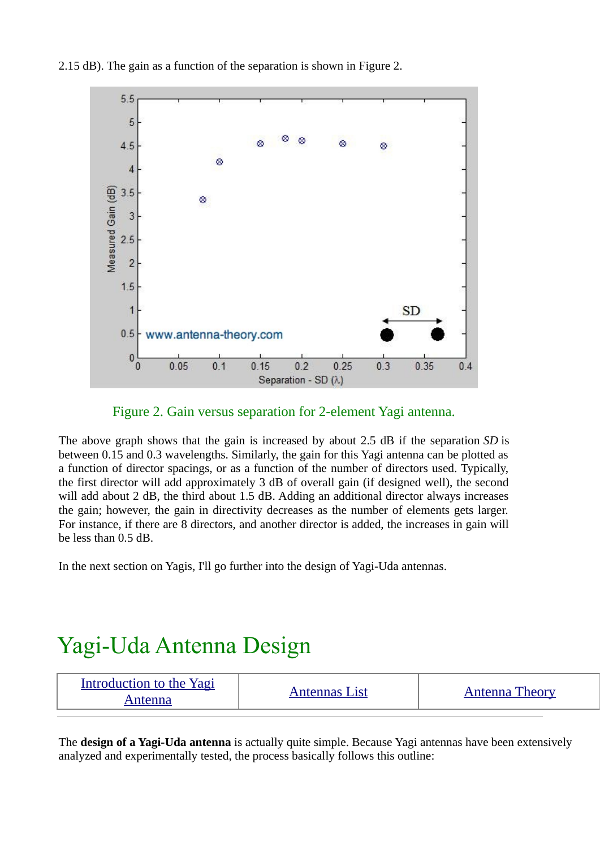

2.15 dB). The gain as a function of the separation is shown in Figure 2.

Figure 2. Gain versus separation for 2-element Yagi antenna.

The above graph shows that the gain is increased by about 2.5 dB if the separation *SD* is between 0.15 and 0.3 wavelengths. Similarly, the gain for this Yagi antenna can be plotted as a function of director spacings, or as a function of the number of directors used. Typically, the first director will add approximately 3 dB of overall gain (if designed well), the second will add about 2 dB, the third about 1.5 dB. Adding an additional director always increases the gain; however, the gain in directivity decreases as the number of elements gets larger. For instance, if there are 8 directors, and another director is added, the increases in gain will be less than 0.5 dB.

In the next section on Yagis, I'll go further into the design of Yagi-Uda antennas.

## Yagi-Uda Antenna Design

| Introduction to the Yagi<br>Antenna | Antennas List | <b>Antenna Theory</b> |
|-------------------------------------|---------------|-----------------------|
|-------------------------------------|---------------|-----------------------|

The **design of a Yagi-Uda antenna** is actually quite simple. Because Yagi antennas have been extensively analyzed and experimentally tested, the process basically follows this outline: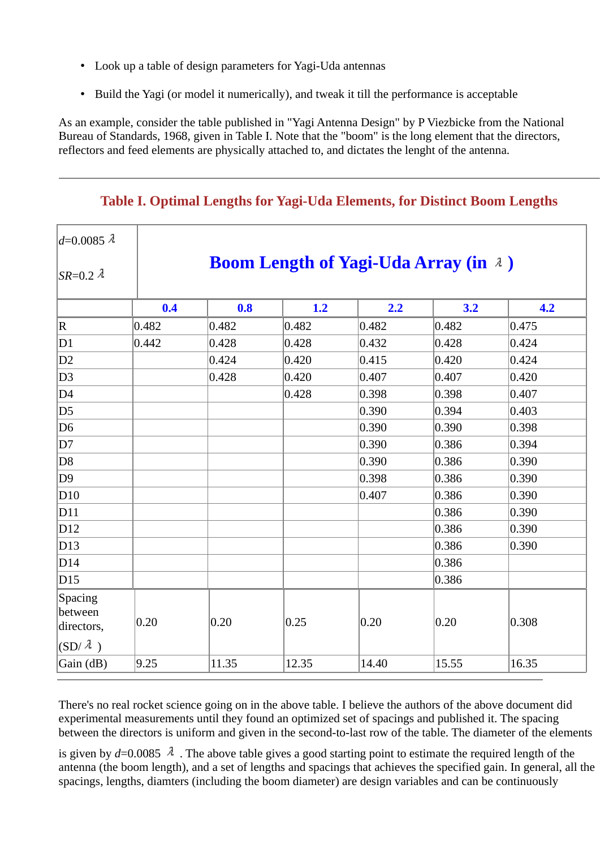- Look up a table of design parameters for Yagi-Uda antennas
- Build the Yagi (or model it numerically), and tweak it till the performance is acceptable

As an example, consider the table published in "Yagi Antenna Design" by P Viezbicke from the National Bureau of Standards, 1968, given in Table I. Note that the "boom" is the long element that the directors, reflectors and feed elements are physically attached to, and dictates the lenght of the antenna.

| $ d=0.0085 \lambda$              |                                             |       |       |                |                |       |  |
|----------------------------------|---------------------------------------------|-------|-------|----------------|----------------|-------|--|
| $ SR=0.2 \lambda$                | <b>Boom Length of Yagi-Uda Array (in 2)</b> |       |       |                |                |       |  |
|                                  | 0.4                                         | 0.8   | 1.2   | 2.2            | 3.2            | 4.2   |  |
| R                                | 0.482                                       | 0.482 | 0.482 | 0.482          | 0.482          | 0.475 |  |
| D1                               | 0.442                                       | 0.428 | 0.428 | 0.432          | 0.428          | 0.424 |  |
| D <sub>2</sub>                   |                                             | 0.424 | 0.420 | 0.415          | 0.420          | 0.424 |  |
| D3                               |                                             | 0.428 | 0.420 | 0.407          | 0.407          | 0.420 |  |
| D4                               |                                             |       | 0.428 | 0.398          | 0.398          | 0.407 |  |
| D5                               |                                             |       |       | 0.390          | 0.394          | 0.403 |  |
| D <sub>6</sub>                   |                                             |       |       | 0.390          | 0.390          | 0.398 |  |
| D7                               |                                             |       |       | 0.390          | 0.386          | 0.394 |  |
| D8                               |                                             |       |       | 0.390          | 0.386          | 0.390 |  |
| D9                               |                                             |       |       | 0.398          | 0.386          | 0.390 |  |
| D10                              |                                             |       |       | 0.407          | 0.386          | 0.390 |  |
| D11                              |                                             |       |       |                | 0.386          | 0.390 |  |
| D12                              |                                             |       |       |                | 0.386          | 0.390 |  |
| D13                              |                                             |       |       |                | 0.386          | 0.390 |  |
| D14                              |                                             |       |       |                | 0.386          |       |  |
| D15                              |                                             |       |       |                | 0.386          |       |  |
| Spacing<br>between<br>directors, | $ 0.20\rangle$                              | 0.20  | 0.25  | $ 0.20\rangle$ | $ 0.20\rangle$ | 0.308 |  |
| $\vert$ (SD/ $\lambda$ )         |                                             |       |       |                |                |       |  |
| Gain (dB)                        | 9.25                                        | 11.35 | 12.35 | 14.40          | 15.55          | 16.35 |  |

## **Table I. Optimal Lengths for Yagi-Uda Elements, for Distinct Boom Lengths**

There's no real rocket science going on in the above table. I believe the authors of the above document did experimental measurements until they found an optimized set of spacings and published it. The spacing between the directors is uniform and given in the second-to-last row of the table. The diameter of the elements

is given by  $d=0.0085$   $\lambda$ . The above table gives a good starting point to estimate the required length of the antenna (the boom length), and a set of lengths and spacings that achieves the specified gain. In general, all the spacings, lengths, diamters (including the boom diameter) are design variables and can be continuously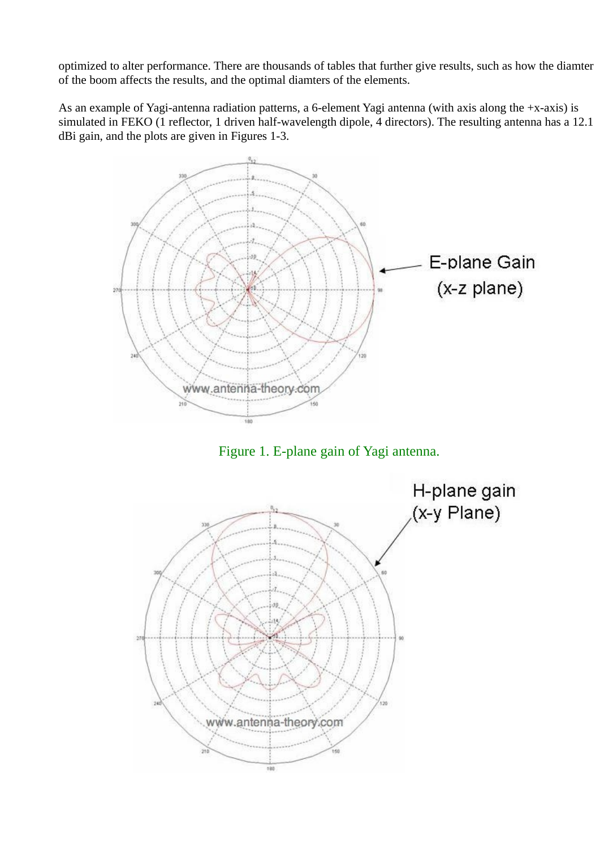optimized to alter performance. There are thousands of tables that further give results, such as how the diamter of the boom affects the results, and the optimal diamters of the elements.

As an example of Yagi-antenna radiation patterns, a 6-element Yagi antenna (with axis along the +x-axis) is simulated in FEKO (1 reflector, 1 driven half-wavelength dipole, 4 directors). The resulting antenna has a 12.1 dBi gain, and the plots are given in Figures 1-3.



Figure 1. E-plane gain of Yagi antenna.